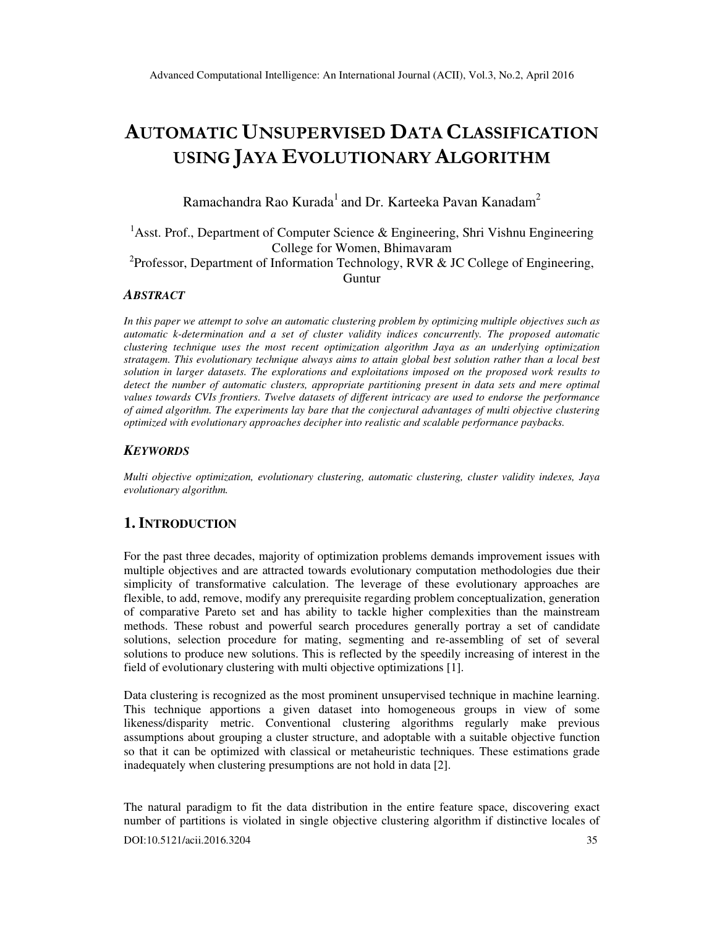# AUTOMATIC UNSUPERVISED DATA CLASSIFICATION USING JAYA EVOLUTIONARY ALGORITHM

Ramachandra Rao Kurada<sup>1</sup> and Dr. Karteeka Pavan Kanadam<sup>2</sup>

<sup>1</sup> Asst. Prof., Department of Computer Science & Engineering, Shri Vishnu Engineering College for Women, Bhimavaram

<sup>2</sup>Professor, Department of Information Technology, RVR & JC College of Engineering, Guntur

### *ABSTRACT*

*In this paper we attempt to solve an automatic clustering problem by optimizing multiple objectives such as automatic k-determination and a set of cluster validity indices concurrently. The proposed automatic clustering technique uses the most recent optimization algorithm Jaya as an underlying optimization stratagem. This evolutionary technique always aims to attain global best solution rather than a local best solution in larger datasets. The explorations and exploitations imposed on the proposed work results to*  detect the number of automatic clusters, appropriate partitioning present in data sets and mere optimal *values towards CVIs frontiers. Twelve datasets of different intricacy are used to endorse the performance of aimed algorithm. The experiments lay bare that the conjectural advantages of multi objective clustering optimized with evolutionary approaches decipher into realistic and scalable performance paybacks.* 

## *KEYWORDS*

*Multi objective optimization, evolutionary clustering, automatic clustering, cluster validity indexes, Jaya evolutionary algorithm.* 

## **1. INTRODUCTION**

For the past three decades, majority of optimization problems demands improvement issues with multiple objectives and are attracted towards evolutionary computation methodologies due their simplicity of transformative calculation. The leverage of these evolutionary approaches are flexible, to add, remove, modify any prerequisite regarding problem conceptualization, generation of comparative Pareto set and has ability to tackle higher complexities than the mainstream methods. These robust and powerful search procedures generally portray a set of candidate solutions, selection procedure for mating, segmenting and re-assembling of set of several solutions to produce new solutions. This is reflected by the speedily increasing of interest in the field of evolutionary clustering with multi objective optimizations [1].

Data clustering is recognized as the most prominent unsupervised technique in machine learning. This technique apportions a given dataset into homogeneous groups in view of some likeness/disparity metric. Conventional clustering algorithms regularly make previous assumptions about grouping a cluster structure, and adoptable with a suitable objective function so that it can be optimized with classical or metaheuristic techniques. These estimations grade inadequately when clustering presumptions are not hold in data [2].

The natural paradigm to fit the data distribution in the entire feature space, discovering exact number of partitions is violated in single objective clustering algorithm if distinctive locales of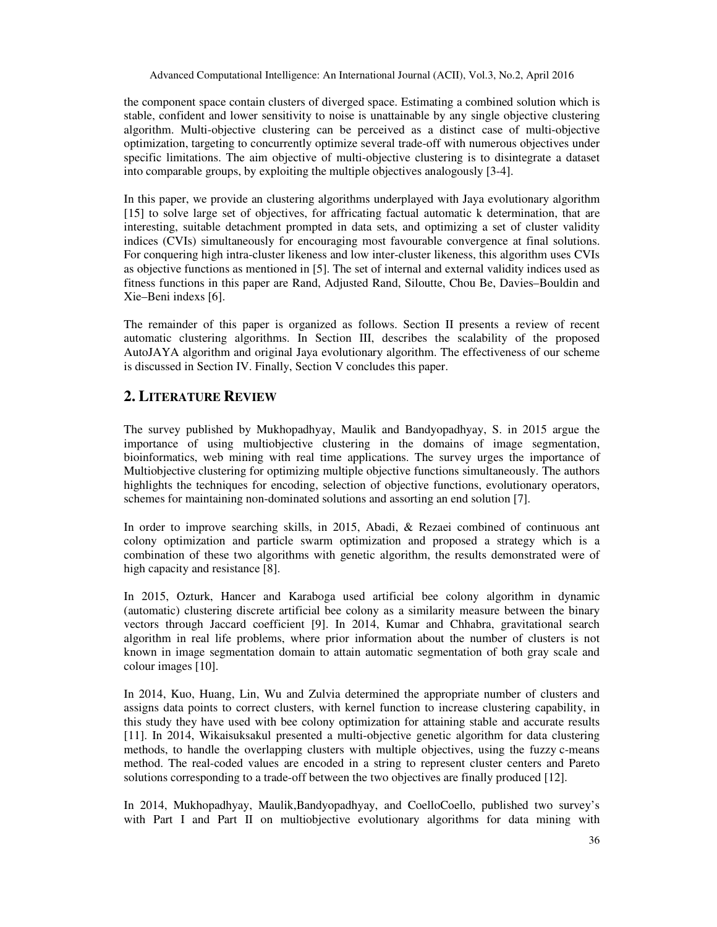the component space contain clusters of diverged space. Estimating a combined solution which is stable, confident and lower sensitivity to noise is unattainable by any single objective clustering algorithm. Multi-objective clustering can be perceived as a distinct case of multi-objective optimization, targeting to concurrently optimize several trade-off with numerous objectives under specific limitations. The aim objective of multi-objective clustering is to disintegrate a dataset into comparable groups, by exploiting the multiple objectives analogously [3-4].

In this paper, we provide an clustering algorithms underplayed with Jaya evolutionary algorithm [15] to solve large set of objectives, for affricating factual automatic k determination, that are interesting, suitable detachment prompted in data sets, and optimizing a set of cluster validity indices (CVIs) simultaneously for encouraging most favourable convergence at final solutions. For conquering high intra-cluster likeness and low inter-cluster likeness, this algorithm uses CVIs as objective functions as mentioned in [5]. The set of internal and external validity indices used as fitness functions in this paper are Rand, Adjusted Rand, Siloutte, Chou Be, Davies–Bouldin and Xie–Beni indexs [6].

The remainder of this paper is organized as follows. Section II presents a review of recent automatic clustering algorithms. In Section III, describes the scalability of the proposed AutoJAYA algorithm and original Jaya evolutionary algorithm. The effectiveness of our scheme is discussed in Section IV. Finally, Section V concludes this paper.

# **2. LITERATURE REVIEW**

The survey published by Mukhopadhyay, Maulik and Bandyopadhyay, S. in 2015 argue the importance of using multiobjective clustering in the domains of image segmentation, bioinformatics, web mining with real time applications. The survey urges the importance of Multiobjective clustering for optimizing multiple objective functions simultaneously. The authors highlights the techniques for encoding, selection of objective functions, evolutionary operators, schemes for maintaining non-dominated solutions and assorting an end solution [7].

In order to improve searching skills, in 2015, Abadi, & Rezaei combined of continuous ant colony optimization and particle swarm optimization and proposed a strategy which is a combination of these two algorithms with genetic algorithm, the results demonstrated were of high capacity and resistance [8].

In 2015, Ozturk, Hancer and Karaboga used artificial bee colony algorithm in dynamic (automatic) clustering discrete artificial bee colony as a similarity measure between the binary vectors through Jaccard coefficient [9]. In 2014, Kumar and Chhabra, gravitational search algorithm in real life problems, where prior information about the number of clusters is not known in image segmentation domain to attain automatic segmentation of both gray scale and colour images [10].

In 2014, Kuo, Huang, Lin, Wu and Zulvia determined the appropriate number of clusters and assigns data points to correct clusters, with kernel function to increase clustering capability, in this study they have used with bee colony optimization for attaining stable and accurate results [11]. In 2014, Wikaisuksakul presented a multi-objective genetic algorithm for data clustering methods, to handle the overlapping clusters with multiple objectives, using the fuzzy c-means method. The real-coded values are encoded in a string to represent cluster centers and Pareto solutions corresponding to a trade-off between the two objectives are finally produced [12].

In 2014, Mukhopadhyay, Maulik,Bandyopadhyay, and CoelloCoello, published two survey's with Part I and Part II on multiobjective evolutionary algorithms for data mining with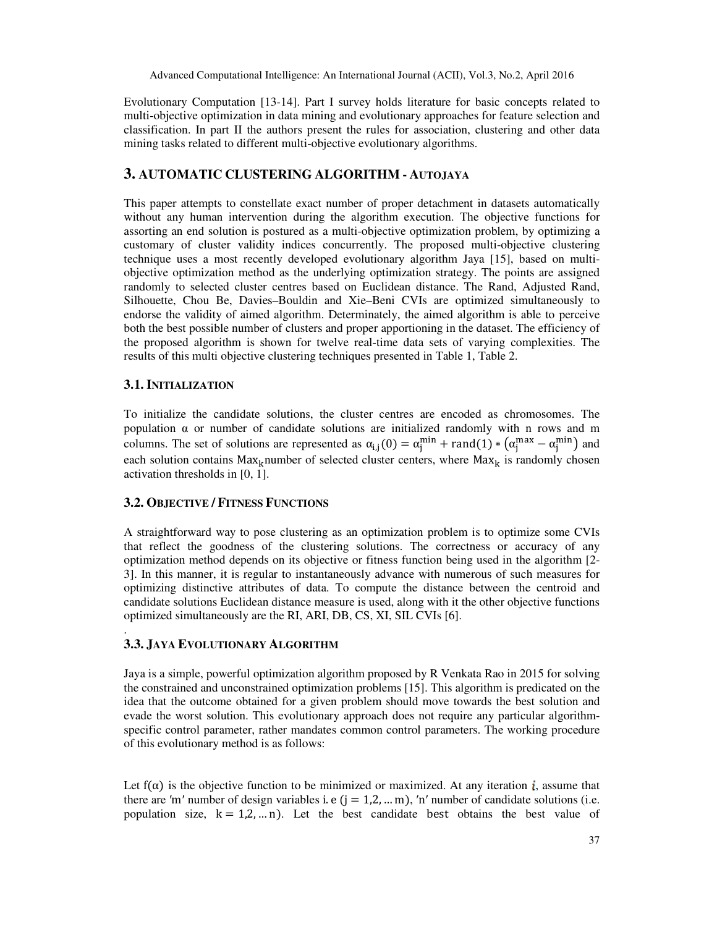Evolutionary Computation [13-14]. Part I survey holds literature for basic concepts related to multi-objective optimization in data mining and evolutionary approaches for feature selection and classification. In part II the authors present the rules for association, clustering and other data mining tasks related to different multi-objective evolutionary algorithms.

## **3. AUTOMATIC CLUSTERING ALGORITHM - AUTOJAYA**

This paper attempts to constellate exact number of proper detachment in datasets automatically without any human intervention during the algorithm execution. The objective functions for assorting an end solution is postured as a multi-objective optimization problem, by optimizing a customary of cluster validity indices concurrently. The proposed multi-objective clustering technique uses a most recently developed evolutionary algorithm Jaya [15], based on multiobjective optimization method as the underlying optimization strategy. The points are assigned randomly to selected cluster centres based on Euclidean distance. The Rand, Adjusted Rand, Silhouette, Chou Be, Davies–Bouldin and Xie–Beni CVIs are optimized simultaneously to endorse the validity of aimed algorithm. Determinately, the aimed algorithm is able to perceive both the best possible number of clusters and proper apportioning in the dataset. The efficiency of the proposed algorithm is shown for twelve real-time data sets of varying complexities. The results of this multi objective clustering techniques presented in Table 1, Table 2.

## **3.1. INITIALIZATION**

.

To initialize the candidate solutions, the cluster centres are encoded as chromosomes. The population  $\alpha$  or number of candidate solutions are initialized randomly with n rows and m columns. The set of solutions are represented as  $\alpha_{i,j}(0) = \alpha_j^{min} + rand(1) * (\alpha_j^{max} - \alpha_j^{min})$  and each solution contains Max<sub>k</sub>number of selected cluster centers, where Max<sub>k</sub> is randomly chosen activation thresholds in [0, 1].

## **3.2. OBJECTIVE / FITNESS FUNCTIONS**

A straightforward way to pose clustering as an optimization problem is to optimize some CVIs that reflect the goodness of the clustering solutions. The correctness or accuracy of any optimization method depends on its objective or fitness function being used in the algorithm [2- 3]. In this manner, it is regular to instantaneously advance with numerous of such measures for optimizing distinctive attributes of data. To compute the distance between the centroid and candidate solutions Euclidean distance measure is used, along with it the other objective functions optimized simultaneously are the RI, ARI, DB, CS, XI, SIL CVIs [6].

#### **3.3. JAYA EVOLUTIONARY ALGORITHM**

Jaya is a simple, powerful optimization algorithm proposed by R Venkata Rao in 2015 for solving the constrained and unconstrained optimization problems [15]. This algorithm is predicated on the idea that the outcome obtained for a given problem should move towards the best solution and evade the worst solution. This evolutionary approach does not require any particular algorithmspecific control parameter, rather mandates common control parameters. The working procedure of this evolutionary method is as follows:

Let  $f(\alpha)$  is the objective function to be minimized or maximized. At any iteration *i*, assume that there are 'm' number of design variables i. e  $(j = 1, 2, ..., m)$ , 'n' number of candidate solutions (i.e. population size,  $k = 1,2,...n$ . Let the best candidate best obtains the best value of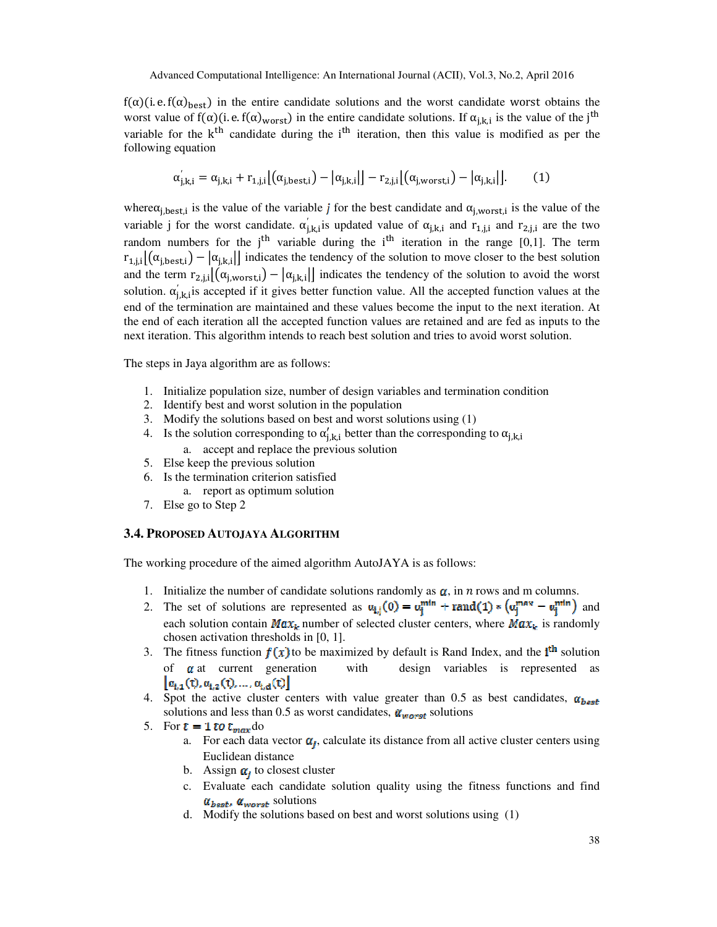$f(\alpha)$ (i. e. f( $\alpha$ )<sub>best</sub>) in the entire candidate solutions and the worst candidate worst obtains the worst value of  $f(\alpha)$ (i. e.  $f(\alpha)_{worst}$ ) in the entire candidate solutions. If  $\alpha_{j,k,i}$  is the value of the j<sup>th</sup> variable for the  $k<sup>th</sup>$  candidate during the i<sup>th</sup> iteration, then this value is modified as per the following equation

$$
\alpha'_{j,k,i} = \alpha_{j,k,i} + r_{1,j,i} \left[ \left( \alpha_{j,best,i} \right) - \left| \alpha_{j,k,i} \right| \right] - r_{2,j,i} \left[ \left( \alpha_{j,worst,i} \right) - \left| \alpha_{j,k,i} \right| \right].
$$
 (1)

where  $\alpha_{j,best,i}$  is the value of the variable *j* for the best candidate and  $\alpha_{j,worst,i}$  is the value of the variable j for the worst candidate.  $\alpha'_{j,k}$  is updated value of  $\alpha_{j,k,i}$  and  $r_{1,j,i}$  and  $r_{2,j,i}$  are the two random numbers for the j<sup>th</sup> variable during the i<sup>th</sup> iteration in the range [0,1]. The term  $r_{1,j,i}[(\alpha_{j,best,i}) - |\alpha_{j,k,i}|]$  indicates the tendency of the solution to move closer to the best solution and the term  $r_{2,j,i}[(\alpha_{j,worst,i}) - |\alpha_{j,k,i}|]$  indicates the tendency of the solution to avoid the worst solution.  $\alpha'_{j,k,i}$  accepted if it gives better function value. All the accepted function values at the end of the termination are maintained and these values become the input to the next iteration. At the end of each iteration all the accepted function values are retained and are fed as inputs to the next iteration. This algorithm intends to reach best solution and tries to avoid worst solution.

The steps in Jaya algorithm are as follows:

- 1. Initialize population size, number of design variables and termination condition
- 2. Identify best and worst solution in the population
- 3. Modify the solutions based on best and worst solutions using (1)
- 4. Is the solution corresponding to  $\alpha'_{j,k,i}$  better than the corresponding to  $\alpha_{j,k,i}$ a. accept and replace the previous solution
- 5. Else keep the previous solution
- 6. Is the termination criterion satisfied
	- a. report as optimum solution
- 7. Else go to Step 2

#### **3.4. PROPOSED AUTOJAYA ALGORITHM**

The working procedure of the aimed algorithm AutoJAYA is as follows:

- 1. Initialize the number of candidate solutions randomly as  $\alpha$ , in *n* rows and m columns.
- 2. The set of solutions are represented as  $u_{i,j}(0) = u_i^{\min} + \text{rand}(1) * (u_i^{\max} u_i^{\min})$  and each solution contain  $Max_k$  number of selected cluster centers, where  $Max_k$  is randomly chosen activation thresholds in [0, 1].
- 3. The fitness function  $f(x)$  to be maximized by default is Rand Index, and the *i*<sup>th</sup> solution of  $\alpha$  at current generation with design variables is represented as  $|a_{1,1}(t), a_{1,2}(t), \ldots, a_{1,d}(t)|$
- 4. Spot the active cluster centers with value greater than 0.5 as best candidates,  $\alpha_{best}$ solutions and less than 0.5 as worst candidates,  $\mathbf{u}_{worst}$  solutions
- 5. For  $t = 1$  to  $t_{max}$  do
	- a. For each data vector  $\alpha_i$ , calculate its distance from all active cluster centers using Euclidean distance
	- b. Assign  $\alpha_i$  to closest cluster
	- c. Evaluate each candidate solution quality using the fitness functions and find  $\alpha_{\text{best}}$ ,  $\alpha_{\text{worst}}$  solutions
	- d. Modify the solutions based on best and worst solutions using (1)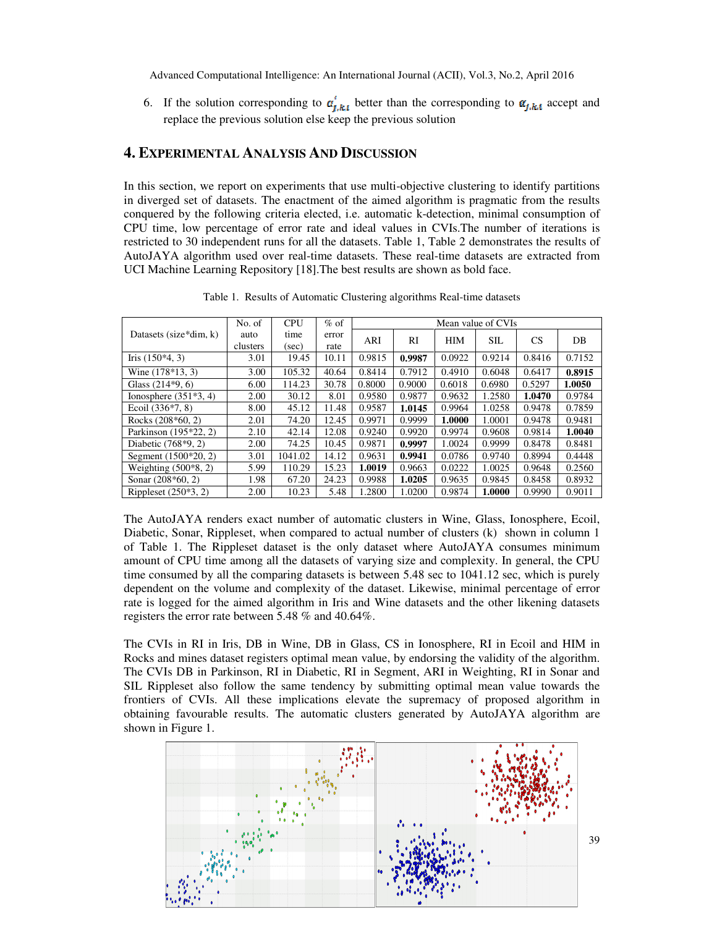6. If the solution corresponding to  $\alpha_{i,k,t}$  better than the corresponding to  $\alpha_{i,k,t}$  accept and replace the previous solution else keep the previous solution

# **4. EXPERIMENTAL ANALYSIS AND DISCUSSION**

In this section, we report on experiments that use multi-objective clustering to identify partitions in diverged set of datasets. The enactment of the aimed algorithm is pragmatic from the results conquered by the following criteria elected, i.e. automatic k-detection, minimal consumption of CPU time, low percentage of error rate and ideal values in CVIs.The number of iterations is restricted to 30 independent runs for all the datasets. Table 1, Table 2 demonstrates the results of AutoJAYA algorithm used over real-time datasets. These real-time datasets are extracted from UCI Machine Learning Repository [18].The best results are shown as bold face.

|                          | No. of           | <b>CPU</b>    | $%$ of        |        | Mean value of CVIs |            |            |           |        |
|--------------------------|------------------|---------------|---------------|--------|--------------------|------------|------------|-----------|--------|
| Datasets $(size*dim, k)$ | auto<br>clusters | time<br>(sec) | error<br>rate | ARI    | RI                 | <b>HIM</b> | <b>SIL</b> | <b>CS</b> | DB     |
| Iris $(150*4, 3)$        | 3.01             | 19.45         | 10.11         | 0.9815 | 0.9987             | 0.0922     | 0.9214     | 0.8416    | 0.7152 |
| Wine $(178*13, 3)$       | 3.00             | 105.32        | 40.64         | 0.8414 | 0.7912             | 0.4910     | 0.6048     | 0.6417    | 0.8915 |
| Glass $(214*9, 6)$       | 6.00             | 114.23        | 30.78         | 0.8000 | 0.9000             | 0.6018     | 0.6980     | 0.5297    | 1.0050 |
| Ionosphere $(351*3, 4)$  | 2.00             | 30.12         | 8.01          | 0.9580 | 0.9877             | 0.9632     | 1.2580     | 1.0470    | 0.9784 |
| Ecoil $(336*7, 8)$       | 8.00             | 45.12         | 11.48         | 0.9587 | 1.0145             | 0.9964     | 1.0258     | 0.9478    | 0.7859 |
| Rocks $(208*60, 2)$      | 2.01             | 74.20         | 12.45         | 0.9971 | 0.9999             | 1.0000     | 1.0001     | 0.9478    | 0.9481 |
| Parkinson (195*22, 2)    | 2.10             | 42.14         | 12.08         | 0.9240 | 0.9920             | 0.9974     | 0.9608     | 0.9814    | 1.0040 |
| Diabetic (768*9, 2)      | 2.00             | 74.25         | 10.45         | 0.9871 | 0.9997             | 1.0024     | 0.9999     | 0.8478    | 0.8481 |
| Segment (1500*20, 2)     | 3.01             | 1041.02       | 14.12         | 0.9631 | 0.9941             | 0.0786     | 0.9740     | 0.8994    | 0.4448 |
| Weighting $(500*8, 2)$   | 5.99             | 110.29        | 15.23         | 1.0019 | 0.9663             | 0.0222     | 1.0025     | 0.9648    | 0.2560 |
| Sonar $(208*60, 2)$      | 1.98             | 67.20         | 24.23         | 0.9988 | 1.0205             | 0.9635     | 0.9845     | 0.8458    | 0.8932 |
| Rippleset $(250*3, 2)$   | 2.00             | 10.23         | 5.48          | 1.2800 | 1.0200             | 0.9874     | 1.0000     | 0.9990    | 0.9011 |

Table 1. Results of Automatic Clustering algorithms Real-time datasets

The AutoJAYA renders exact number of automatic clusters in Wine, Glass, Ionosphere, Ecoil, Diabetic, Sonar, Rippleset, when compared to actual number of clusters (k) shown in column 1 of Table 1. The Rippleset dataset is the only dataset where AutoJAYA consumes minimum amount of CPU time among all the datasets of varying size and complexity. In general, the CPU time consumed by all the comparing datasets is between 5.48 sec to 1041.12 sec, which is purely dependent on the volume and complexity of the dataset. Likewise, minimal percentage of error rate is logged for the aimed algorithm in Iris and Wine datasets and the other likening datasets registers the error rate between 5.48 % and 40.64%.

The CVIs in RI in Iris, DB in Wine, DB in Glass, CS in Ionosphere, RI in Ecoil and HIM in Rocks and mines dataset registers optimal mean value, by endorsing the validity of the algorithm. The CVIs DB in Parkinson, RI in Diabetic, RI in Segment, ARI in Weighting, RI in Sonar and SIL Rippleset also follow the same tendency by submitting optimal mean value towards the frontiers of CVIs. All these implications elevate the supremacy of proposed algorithm in obtaining favourable results. The automatic clusters generated by AutoJAYA algorithm are shown in Figure 1.

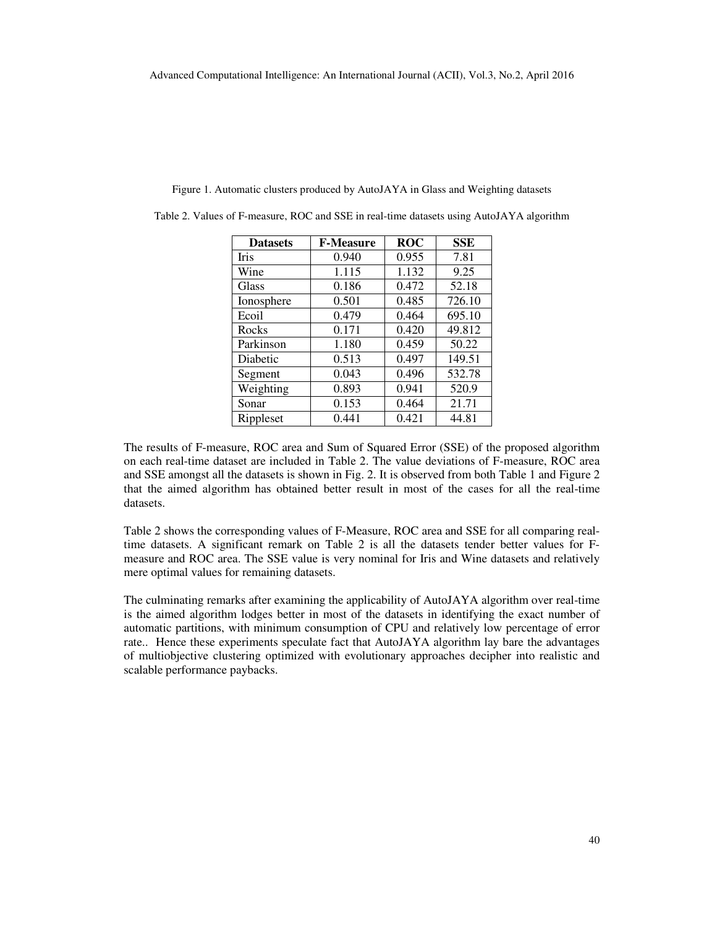| <b>Datasets</b> | <b>F-Measure</b> | <b>ROC</b> | <b>SSE</b> |
|-----------------|------------------|------------|------------|
| <b>Iris</b>     | 0.940            | 0.955      | 7.81       |
| Wine            | 1.115            | 1.132      | 9.25       |
| Glass           | 0.186            | 0.472      | 52.18      |
| Ionosphere      | 0.501            | 0.485      | 726.10     |
| Ecoil           | 0.479            | 0.464      | 695.10     |
| Rocks           | 0.171            | 0.420      | 49.812     |
| Parkinson       | 1.180            | 0.459      | 50.22      |
| Diabetic        | 0.513            | 0.497      | 149.51     |
| Segment         | 0.043            | 0.496      | 532.78     |
| Weighting       | 0.893            | 0.941      | 520.9      |
| Sonar           | 0.153            | 0.464      | 21.71      |
| Rippleset       | 0.441            | 0.421      | 44.81      |

Figure 1. Automatic clusters produced by AutoJAYA in Glass and Weighting datasets

Table 2. Values of F-measure, ROC and SSE in real-time datasets using AutoJAYA algorithm

The results of F-measure, ROC area and Sum of Squared Error (SSE) of the proposed algorithm on each real-time dataset are included in Table 2. The value deviations of F-measure, ROC area and SSE amongst all the datasets is shown in Fig. 2. It is observed from both Table 1 and Figure 2 that the aimed algorithm has obtained better result in most of the cases for all the real-time datasets.

Table 2 shows the corresponding values of F-Measure, ROC area and SSE for all comparing realtime datasets. A significant remark on Table 2 is all the datasets tender better values for Fmeasure and ROC area. The SSE value is very nominal for Iris and Wine datasets and relatively mere optimal values for remaining datasets.

The culminating remarks after examining the applicability of AutoJAYA algorithm over real-time is the aimed algorithm lodges better in most of the datasets in identifying the exact number of automatic partitions, with minimum consumption of CPU and relatively low percentage of error rate.. Hence these experiments speculate fact that AutoJAYA algorithm lay bare the advantages of multiobjective clustering optimized with evolutionary approaches decipher into realistic and scalable performance paybacks.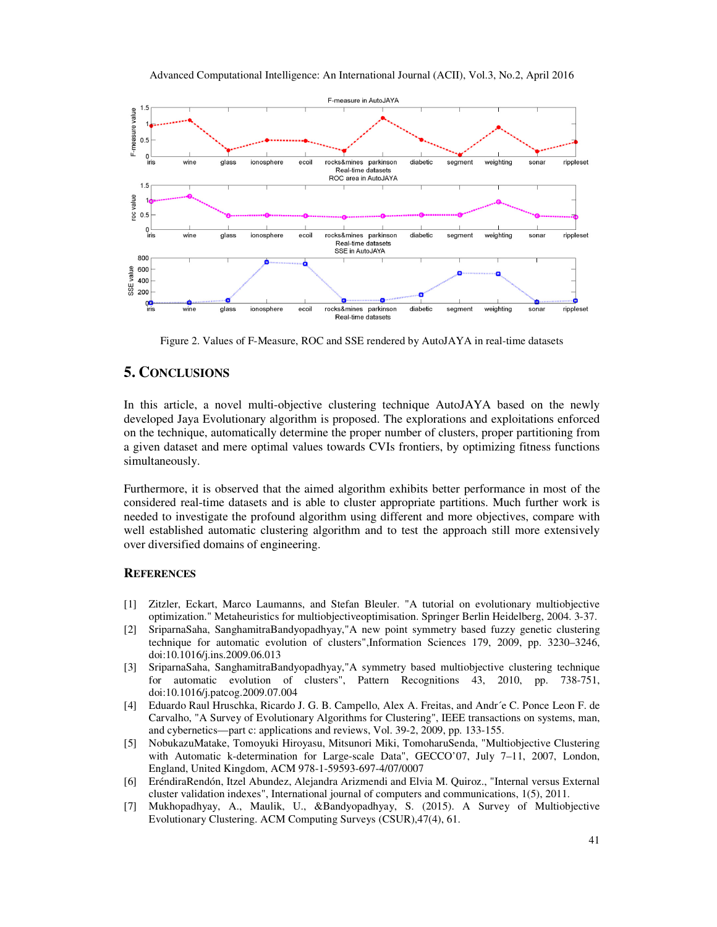

Figure 2. Values of F-Measure, ROC and SSE rendered by AutoJAYA in real-time datasets

## **5. CONCLUSIONS**

In this article, a novel multi-objective clustering technique AutoJAYA based on the newly developed Jaya Evolutionary algorithm is proposed. The explorations and exploitations enforced on the technique, automatically determine the proper number of clusters, proper partitioning from a given dataset and mere optimal values towards CVIs frontiers, by optimizing fitness functions simultaneously.

Furthermore, it is observed that the aimed algorithm exhibits better performance in most of the considered real-time datasets and is able to cluster appropriate partitions. Much further work is needed to investigate the profound algorithm using different and more objectives, compare with well established automatic clustering algorithm and to test the approach still more extensively over diversified domains of engineering.

#### **REFERENCES**

- [1] Zitzler, Eckart, Marco Laumanns, and Stefan Bleuler. "A tutorial on evolutionary multiobjective optimization." Metaheuristics for multiobjectiveoptimisation. Springer Berlin Heidelberg, 2004. 3-37.
- [2] SriparnaSaha, SanghamitraBandyopadhyay,"A new point symmetry based fuzzy genetic clustering technique for automatic evolution of clusters",Information Sciences 179, 2009, pp. 3230–3246, doi:10.1016/j.ins.2009.06.013
- [3] SriparnaSaha, SanghamitraBandyopadhyay,"A symmetry based multiobjective clustering technique for automatic evolution of clusters", Pattern Recognitions 43, 2010, pp. 738-751, doi:10.1016/j.patcog.2009.07.004
- [4] Eduardo Raul Hruschka, Ricardo J. G. B. Campello, Alex A. Freitas, and Andr´e C. Ponce Leon F. de Carvalho, "A Survey of Evolutionary Algorithms for Clustering", IEEE transactions on systems, man, and cybernetics—part c: applications and reviews, Vol. 39-2, 2009, pp. 133-155.
- [5] NobukazuMatake, Tomoyuki Hiroyasu, Mitsunori Miki, TomoharuSenda, "Multiobjective Clustering with Automatic k-determination for Large-scale Data", GECCO'07, July 7-11, 2007, London, England, United Kingdom, ACM 978-1-59593-697-4/07/0007
- [6] EréndiraRendón, Itzel Abundez, Alejandra Arizmendi and Elvia M. Quiroz., "Internal versus External cluster validation indexes", International journal of computers and communications, 1(5), 2011.
- [7] Mukhopadhyay, A., Maulik, U., &Bandyopadhyay, S. (2015). A Survey of Multiobjective Evolutionary Clustering. ACM Computing Surveys (CSUR),47(4), 61.